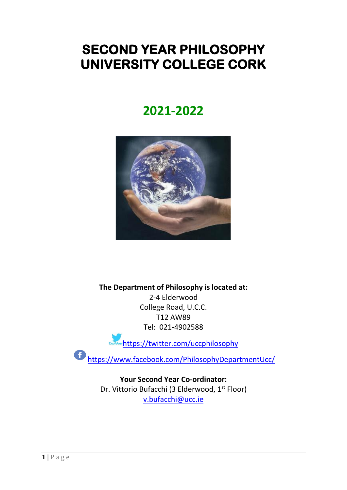# **SECOND YEAR PHILOSOPHY UNIVERSITY COLLEGE CORK**

# **2021-2022**



**The Department of Philosophy is located at:** 2-4 Elderwood College Road, U.C.C. T12 AW89 Tel: 021-4902588

<https://twitter.com/uccphilosophy>

 $\ddot{\mathbf{f}}$ <https://www.facebook.com/PhilosophyDepartmentUcc/>

> **Your Second Year Co-ordinator:** Dr. Vittorio Bufacchi (3 Elderwood, 1<sup>st</sup> Floor) [v.bufacchi@ucc.ie](mailto:v.bufacchi@ucc.ie)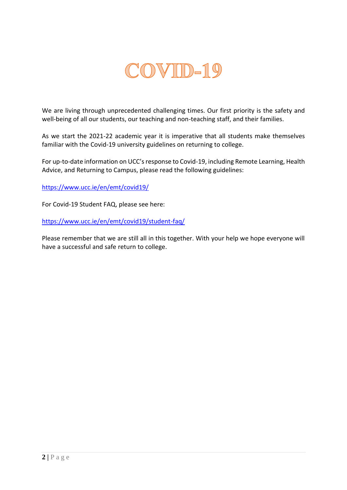

We are living through unprecedented challenging times. Our first priority is the safety and well-being of all our students, our teaching and non-teaching staff, and their families.

As we start the 2021-22 academic year it is imperative that all students make themselves familiar with the Covid-19 university guidelines on returning to college.

For up-to-date information on UCC's response to Covid-19, including Remote Learning, Health Advice, and Returning to Campus, please read the following guidelines:

<https://www.ucc.ie/en/emt/covid19/>

For Covid-19 Student FAQ, please see here:

<https://www.ucc.ie/en/emt/covid19/student-faq/>

Please remember that we are still all in this together. With your help we hope everyone will have a successful and safe return to college.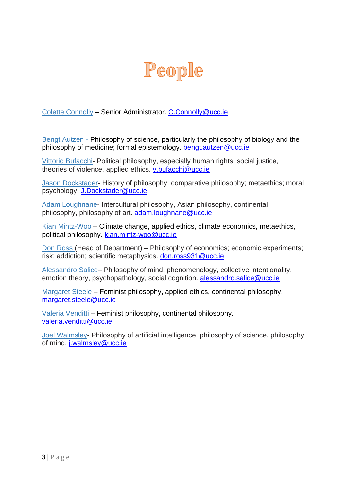

Colette Connolly – Senior Administrator. [C.Connolly@ucc.ie](mailto:C.Connolly@ucc.ie)

Bengt Autzen - Philosophy of science, particularly the philosophy of biology and the philosophy of medicine; formal epistemology. [bengt.autzen@ucc.ie](mailto:bengt.autzen@ucc.ie)

Vittorio Bufacchi- Political philosophy, especially human rights, social justice, theories of violence, applied ethics. [v.bufacchi@ucc.ie](mailto:v.bufacchi@ucc.ie)

Jason Dockstader- History of philosophy; comparative philosophy; metaethics; moral psychology. [J.Dockstader@ucc.ie](mailto:J.Dockstader@ucc.ie)

Adam Loughnane- Intercultural philosophy, Asian philosophy, continental philosophy, philosophy of art. [adam.loughnane@ucc.ie](mailto:adam.loughnane@ucc.ie)

Kian Mintz-Woo – Climate change, applied ethics, climate economics, metaethics, political philosophy. [kian.mintz-woo@ucc.ie](mailto:kian.mintz-woo@ucc.ie)

Don Ross (Head of Department) – Philosophy of economics; economic experiments; risk; addiction; scientific metaphysics. [don.ross931@ucc.ie](mailto:don.ross931@ucc.ie)

Alessandro Salice– Philosophy of mind, phenomenology, collective intentionality, emotion theory, psychopathology, social cognition. [alessandro.salice@ucc.ie](mailto:alessandro.salice@ucc.ie)

Margaret Steele – Feminist philosophy, applied ethics, continental philosophy. [margaret.steele@ucc.ie](mailto:margaret.steele@ucc.ie)

Valeria Venditti – Feminist philosophy, continental philosophy. [valeria.venditti@ucc.ie](mailto:valeria.venditti@ucc.ie)

Joel Walmsley- Philosophy of artificial intelligence, philosophy of science, philosophy of mind. [j.walmsley@ucc.ie](mailto:j.walmsley@ucc.ie)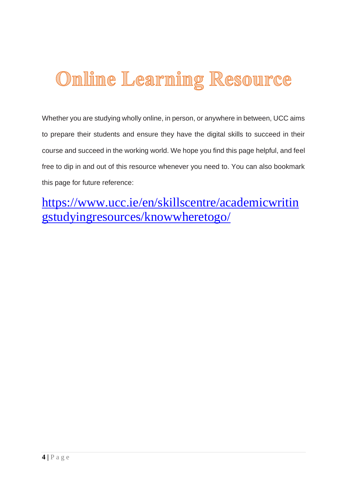# Online Learning Resource

Whether you are studying wholly online, in person, or anywhere in between, UCC aims to prepare their students and ensure they have the digital skills to succeed in their course and succeed in the working world. We hope you find this page helpful, and feel free to dip in and out of this resource whenever you need to. You can also bookmark this page for future reference:

[https://www.ucc.ie/en/skillscentre/academicwritin](https://www.ucc.ie/en/skillscentre/academicwritingstudyingresources/knowwheretogo/) [gstudyingresources/knowwheretogo/](https://www.ucc.ie/en/skillscentre/academicwritingstudyingresources/knowwheretogo/)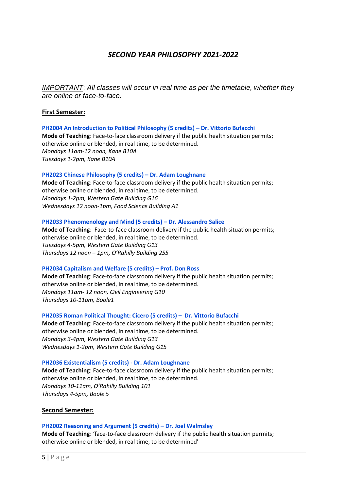# *SECOND YEAR PHILOSOPHY 2021-2022*

*IMPORTANT*: *All classes will occur in real time as per the timetable, whether they are online or face-to-face.*

# **First Semester:**

#### **PH2004 An Introduction to Political Philosophy (5 credits) – Dr. Vittorio Bufacchi**

**Mode of Teaching**: Face-to-face classroom delivery if the public health situation permits; otherwise online or blended, in real time, to be determined. *Mondays 11am-12 noon, Kane B10A Tuesdays 1-2pm, Kane B10A*

# **PH2023 Chinese Philosophy (5 credits) – Dr. Adam Loughnane**

**Mode of Teaching**: Face-to-face classroom delivery if the public health situation permits; otherwise online or blended, in real time, to be determined. *Mondays 1-2pm, Western Gate Building G16 Wednesdays 12 noon-1pm, Food Science Building A1*

#### **PH2033 Phenomenology and Mind (5 credits) – Dr. Alessandro Salice**

**Mode of Teaching**: Face-to-face classroom delivery if the public health situation permits; otherwise online or blended, in real time, to be determined. *Tuesdays 4-5pm, Western Gate Building G13 Thursdays 12 noon – 1pm, O'Rahilly Building 255*

# **PH2034 Capitalism and Welfare (5 credits) – Prof. Don Ross**

**Mode of Teaching**: Face-to-face classroom delivery if the public health situation permits; otherwise online or blended, in real time, to be determined. *Mondays 11am- 12 noon, Civil Engineering G10 Thursdays 10-11am, Boole1*

# **PH2035 Roman Political Thought: Cicero (5 credits) – Dr. Vittorio Bufacchi**

**Mode of Teaching**: Face-to-face classroom delivery if the public health situation permits; otherwise online or blended, in real time, to be determined. *Mondays 3-4pm, Western Gate Building G13 Wednesdays 1-2pm, Western Gate Building G15*

# **PH2036 Existentialism (5 credits) - Dr. Adam Loughnane**

**Mode of Teaching**: Face-to-face classroom delivery if the public health situation permits; otherwise online or blended, in real time, to be determined. *Mondays 10-11am, O'Rahilly Building 101 Thursdays 4-5pm, Boole 5*

# **Second Semester:**

#### **PH2002 Reasoning and Argument (5 credits) – Dr. Joel Walmsley**

**Mode of Teaching**: 'face-to-face classroom delivery if the public health situation permits; otherwise online or blended, in real time, to be determined'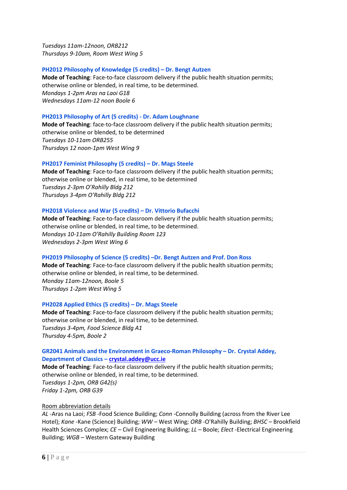*Tuesdays 11am-12noon, ORB212 Thursdays 9-10am, Room West Wing 5*

# **PH2012 Philosophy of Knowledge (5 credits) – Dr. Bengt Autzen**

**Mode of Teaching**: Face-to-face classroom delivery if the public health situation permits; otherwise online or blended, in real time, to be determined. *Mondays 1-2pm Aras na Laoi G18 Wednesdays 11am-12 noon Boole 6*

#### **PH2013 Philosophy of Art (5 credits) - Dr. Adam Loughnane**

**Mode of Teaching**: face-to-face classroom delivery if the public health situation permits; otherwise online or blended, to be determined *Tuesdays 10-11am ORB255 Thursdays 12 noon-1pm West Wing 9*

#### **PH2017 Feminist Philosophy (5 credits) – Dr. Mags Steele**

**Mode of Teaching**: Face-to-face classroom delivery if the public health situation permits; otherwise online or blended, in real time, to be determined *Tuesdays 2-3pm O'Rahilly Bldg 212 Thursdays 3-4pm O'Rahilly Bldg 212*

#### **PH2018 Violence and War (5 credits) – Dr. Vittorio Bufacchi**

**Mode of Teaching**: Face-to-face classroom delivery if the public health situation permits; otherwise online or blended, in real time, to be determined. *Mondays 10-11am O'Rahilly Building Room 123 Wednesdays 2-3pm West Wing 6*

#### **PH2019 Philosophy of Science (5 credits) –Dr. Bengt Autzen and Prof. Don Ross**

**Mode of Teaching**: Face-to-face classroom delivery if the public health situation permits; otherwise online or blended, in real time, to be determined. *Monday 11am-12noon, Boole 5 Thursdays 1-2pm West Wing 5*

#### **PH2028 Applied Ethics (5 credits) – Dr. Mags Steele**

**Mode of Teaching**: Face-to-face classroom delivery if the public health situation permits; otherwise online or blended, in real time, to be determined. *Tuesdays 3-4pm, Food Science Bldg A1 Thursday 4-5pm, Boole 2*

# **GR2041 Animals and the Environment in Graeco-Roman Philosophy – Dr. Crystal Addey, Department of Classics – [crystal.addey@ucc.ie](mailto:crystal.addey@ucc.ie)**

**Mode of Teaching**: Face-to-face classroom delivery if the public health situation permits; otherwise online or blended, in real time, to be determined. *Tuesdays 1-2pm, ORB G42(s) Friday 1-2pm, ORB G39*

#### Room abbreviation details

*AL* -Aras na Laoi; *FSB* -Food Science Building; *Conn* -Connolly Building (across from the River Lee Hotel); *Kane* -Kane (Science) Building; *WW –* West Wing; *ORB* -O'Rahilly Building; *BHSC –* Brookfield Health Sciences Complex; *CE –* Civil Engineering Building; *LL –* Boole; *Elect -*Electrical Engineering Building; *WGB –* Western Gateway Building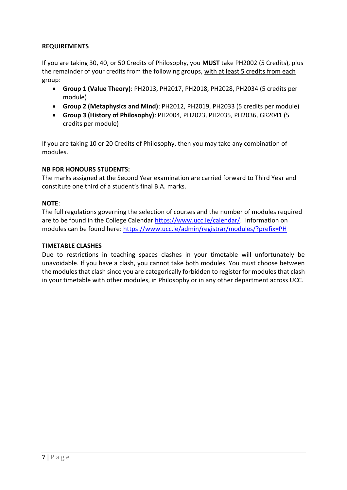# **REQUIREMENTS**

If you are taking 30, 40, or 50 Credits of Philosophy, you **MUST** take PH2002 (5 Credits), plus the remainder of your credits from the following groups, with at least 5 credits from each group:

- **Group 1 (Value Theory)**: PH2013, PH2017, PH2018, PH2028, PH2034 (5 credits per module)
- **Group 2 (Metaphysics and Mind)**: PH2012, PH2019, PH2033 (5 credits per module)
- **Group 3 (History of Philosophy)**: PH2004, PH2023, PH2035, PH2036, GR2041 (5 credits per module)

If you are taking 10 or 20 Credits of Philosophy, then you may take any combination of modules.

# **NB FOR HONOURS STUDENTS:**

The marks assigned at the Second Year examination are carried forward to Third Year and constitute one third of a student's final B.A. marks.

# **NOTE**:

The full regulations governing the selection of courses and the number of modules required are to be found in the College Calenda[r https://www.ucc.ie/calendar/.](https://www.ucc.ie/calendar/) Information on modules can be found here: <https://www.ucc.ie/admin/registrar/modules/?prefix=PH>

# **TIMETABLE CLASHES**

Due to restrictions in teaching spaces clashes in your timetable will unfortunately be unavoidable. If you have a clash, you cannot take both modules. You must choose between the modules that clash since you are categorically forbidden to register for modules that clash in your timetable with other modules, in Philosophy or in any other department across UCC.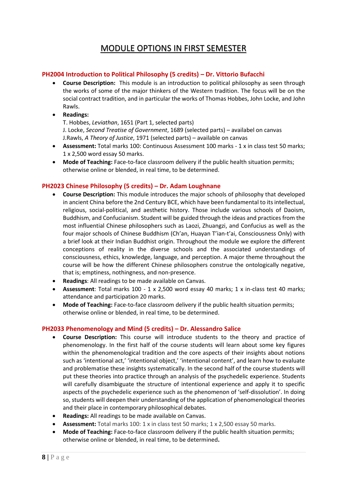# MODULE OPTIONS IN FIRST SEMESTER

# **PH2004 Introduction to Political Philosophy (5 credits) – Dr. Vittorio Bufacchi**

- **Course Description:** This module is an introduction to political philosophy as seen through the works of some of the major thinkers of the Western tradition. The focus will be on the social contract tradition, and in particular the works of Thomas Hobbes, John Locke, and John Rawls.
- **Readings:**

T. Hobbes, *Leviathan*, 1651 (Part 1, selected parts) J. Locke, *Second Treatise of Government*, 1689 (selected parts) – availabel on canvas J.Rawls, *A Theory of Justice*, 1971 (selected parts) – available on canvas

- **Assessment:** Total marks 100: Continuous Assessment 100 marks 1 x in class test 50 marks; 1 x 2,500 word essay 50 marks.
- Mode of Teaching: Face-to-face classroom delivery if the public health situation permits; otherwise online or blended, in real time, to be determined.

# **PH2023 Chinese Philosophy (5 credits) – Dr. Adam Loughnane**

- **Course Description:** This module introduces the major schools of philosophy that developed in ancient China before the 2nd Century BCE, which have been fundamental to its intellectual, religious, social-political, and aesthetic history. Those include various schools of Daoism, Buddhism, and Confucianism. Student will be guided through the ideas and practices from the most influential Chinese philosophers such as Laozi, Zhuangzi, and Confucius as well as the four major schools of Chinese Buddhism (Ch'an, Huayan T'ian-t'ai, Consciousness Only) with a brief look at their Indian Buddhist origin. Throughout the module we explore the different conceptions of reality in the diverse schools and the associated understandings of consciousness, ethics, knowledge, language, and perception. A major theme throughout the course will be how the different Chinese philosophers construe the ontologically negative, that is; emptiness, nothingness, and non-presence.
- **Readings**: All readings to be made available on Canvas.
- **Assessment**: Total marks 100 1 x 2,500 word essay 40 marks; 1 x in-class test 40 marks; attendance and participation 20 marks.
- **Mode of Teaching:** Face-to-face classroom delivery if the public health situation permits; otherwise online or blended, in real time, to be determined.

# **PH2033 Phenomenology and Mind (5 credits) – Dr. Alessandro Salice**

- **Course Description:** This course will introduce students to the theory and practice of phenomenology. In the first half of the course students will learn about some key figures within the phenomenological tradition and the core aspects of their insights about notions such as 'intentional act,' 'intentional object,' 'intentional content', and learn how to evaluate and problematise these insights systematically. In the second half of the course students will put these theories into practice through an analysis of the psychedelic experience. Students will carefully disambiguate the structure of intentional experience and apply it to specific aspects of the psychedelic experience such as the phenomenon of 'self-dissolution'. In doing so, students will deepen their understanding of the application of phenomenological theories and their place in contemporary philosophical debates.
- **Readings:** All readings to be made available on Canvas.
- **Assessment:** Total marks 100: 1 x in class test 50 marks; 1 x 2,500 essay 50 marks.
- **Mode of Teaching:** Face-to-face classroom delivery if the public health situation permits; otherwise online or blended, in real time, to be determined**.**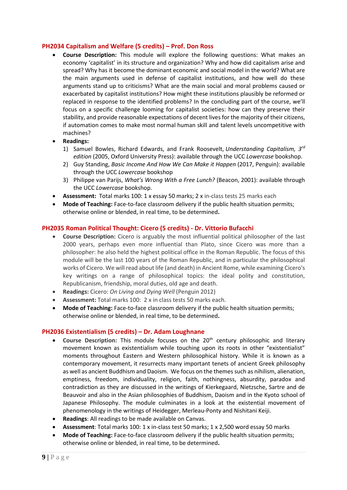# **PH2034 Capitalism and Welfare (5 credits) – Prof. Don Ross**

- **Course Description:** This module will explore the following questions: What makes an economy 'capitalist' in its structure and organization? Why and how did capitalism arise and spread? Why has it become the dominant economic and social model in the world? What are the main arguments used in defense of capitalist institutions, and how well do these arguments stand up to criticisms? What are the main social and moral problems caused or exacerbated by capitalist institutions? How might these institutions plausibly be reformed or replaced in response to the identified problems? In the concluding part of the course, we'll focus on a specific challenge looming for capitalist societies: how can they preserve their stability, and provide reasonable expectations of decent lives for the majority of their citizens, if automation comes to make most normal human skill and talent levels uncompetitive with machines?
- **Readings:**
	- 1) Samuel Bowles, Richard Edwards, and Frank Roosevelt, *Understanding Capitalism, 3rd edition* (2005, Oxford University Press): available through the UCC *Lowercase* bookshop.
	- 2) Guy Standing, *Basic Income And How We Can Make it Happen* (2017, Penguin): available through the UCC *Lowercase* bookshop
	- 3) Philippe van Parijs, *What's Wrong With a Free Lunch?* (Beacon, 2001): available through the UCC *Lowercase* bookshop.
- **Assessment:** Total marks 100: 1 x essay 50 marks; 2 x in-class tests 25 marks each
- **Mode of Teaching:** Face-to-face classroom delivery if the public health situation permits; otherwise online or blended, in real time, to be determined**.**

# **PH2035 Roman Political Thought: Cicero (5 credits) - Dr. Vittorio Bufacchi**

- **Course Description:** Cicero is arguably the most influential political philosopher of the last 2000 years, perhaps even more influential than Plato, since Cicero was more than a philosopher: he also held the highest political office in the Roman Republic. The focus of this module will be the last 100 years of the Roman Republic, and in particular the philosophical works of Cicero. We will read about life (and death) in Ancient Rome, while examining Cicero's key writings on a range of philosophical topics: the ideal polity and constitution, Republicanism, friendship, moral duties, old age and death.
- **Readings:** Cicero: *On Living and Dying Well* (Penguin 2012)
- **Assessment:** Total marks 100: 2 x in class tests 50 marks each.
- **Mode of Teaching:** Face-to-face classroom delivery if the public health situation permits; otherwise online or blended, in real time, to be determined**.**

# **PH2036 Existentialism (5 credits) – Dr. Adam Loughnane**

- Course Description: This module focuses on the 20<sup>th</sup> century philosophic and literary movement known as existentialism while touching upon its roots in other "existentialist" moments throughout Eastern and Western philosophical history. While it is known as a contemporary movement, it resurrects many important tenets of ancient Greek philosophy as well as ancient Buddhism and Daoism. We focus on the themes such as nihilism, alienation, emptiness, freedom, individuality, religion, faith, nothingness, absurdity, paradox and contradiction as they are discussed in the writings of Kierkegaard, Nietzsche, Sartre and de Beauvoir and also in the Asian philosophies of Buddhism, Daoism and in the Kyoto school of Japanese Philosophy. The module culminates in a look at the existential movement of phenomenology in the writings of Heidegger, Merleau-Ponty and Nishitani Keiji.
- **Readings**: All readings to be made available on Canvas.
- **Assessment**: Total marks 100: 1 x in-class test 50 marks; 1 x 2,500 word essay 50 marks
- **Mode of Teaching:** Face-to-face classroom delivery if the public health situation permits; otherwise online or blended, in real time, to be determined**.**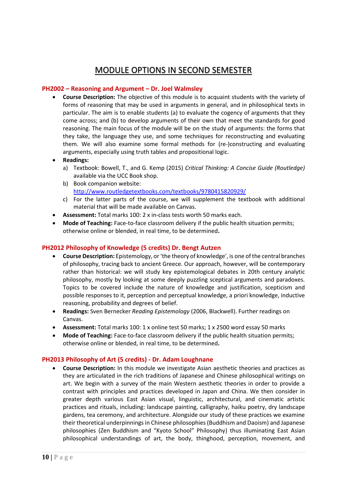# MODULE OPTIONS IN SECOND SEMESTER

# **PH2002 – Reasoning and Argument – Dr. Joel Walmsley**

- **Course Description:** The objective of this module is to acquaint students with the variety of forms of reasoning that may be used in arguments in general, and in philosophical texts in particular. The aim is to enable students (a) to evaluate the cogency of arguments that they come across; and (b) to develop arguments of their own that meet the standards for good reasoning. The main focus of the module will be on the study of arguments: the forms that they take, the language they use, and some techniques for reconstructing and evaluating them. We will also examine some formal methods for (re-)constructing and evaluating arguments, especially using truth tables and propositional logic.
- **Readings:**
	- a) Textbook: Bowell, T., and G. Kemp (2015) *Critical Thinking: A Concise Guide (Routledge)* available via the UCC Book shop.
	- b) Book companion website: <http://www.routledgetextbooks.com/textbooks/9780415820929/>
	- c) For the latter parts of the course, we will supplement the textbook with additional material that will be made available on Canvas.
- **Assessment:** Total marks 100: 2 x in-class tests worth 50 marks each.
- **Mode of Teaching:** Face-to-face classroom delivery if the public health situation permits; otherwise online or blended, in real time, to be determined**.**

# **PH2012 Philosophy of Knowledge (5 credits) Dr. Bengt Autzen**

- **Course Description:** Epistemology, or 'the theory of knowledge', is one of the central branches of philosophy, tracing back to ancient Greece. Our approach, however, will be contemporary rather than historical: we will study key epistemological debates in 20th century analytic philosophy, mostly by looking at some deeply puzzling sceptical arguments and paradoxes. Topics to be covered include the nature of knowledge and justification, scepticism and possible responses to it, perception and perceptual knowledge, a priori knowledge, inductive reasoning, probability and degrees of belief.
- **Readings:** Sven Bernecker *Reading Epistemology* (2006, Blackwell). Further readings on Canvas.
- **Assessment:** Total marks 100: 1 x online test 50 marks; 1 x 2500 word essay 50 marks
- Mode of Teaching: Face-to-face classroom delivery if the public health situation permits; otherwise online or blended, in real time, to be determined**.**

# **PH2013 Philosophy of Art (5 credits) - Dr. Adam Loughnane**

• **Course Description:** In this module we investigate Asian aesthetic theories and practices as they are articulated in the rich traditions of Japanese and Chinese philosophical writings on art. We begin with a survey of the main Western aesthetic theories in order to provide a contrast with principles and practices developed in Japan and China. We then consider in greater depth various East Asian visual, linguistic, architectural, and cinematic artistic practices and rituals, including: landscape painting, calligraphy, haiku poetry, dry landscape gardens, tea ceremony, and architecture. Alongside our study of these practices we examine their theoretical underpinnings in Chinese philosophies (Buddhism and Daoism) and Japanese philosophies (Zen Buddhism and "Kyoto School" Philosophy) thus illuminating East Asian philosophical understandings of art, the body, thinghood, perception, movement, and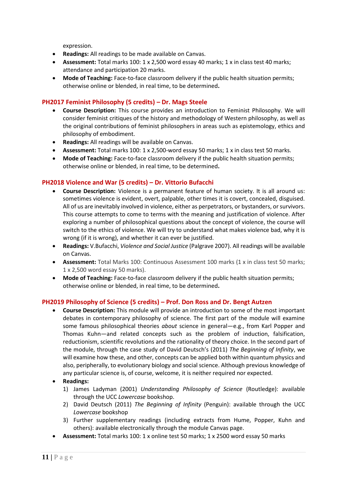expression.

- **Readings:** All readings to be made available on Canvas.
- **Assessment:** Total marks 100: 1 x 2,500 word essay 40 marks; 1 x in class test 40 marks; attendance and participation 20 marks.
- **Mode of Teaching:** Face-to-face classroom delivery if the public health situation permits; otherwise online or blended, in real time, to be determined**.**

# **PH2017 Feminist Philosophy (5 credits) – Dr. Mags Steele**

- **Course Description:** This course provides an introduction to Feminist Philosophy. We will consider feminist critiques of the history and methodology of Western philosophy, as well as the original contributions of feminist philosophers in areas such as epistemology, ethics and philosophy of embodiment.
- **Readings:** All readings will be available on Canvas.
- **Assessment:** Total marks 100: 1 x 2,500-word essay 50 marks; 1 x in class test 50 marks.
- **Mode of Teaching:** Face-to-face classroom delivery if the public health situation permits; otherwise online or blended, in real time, to be determined**.**

# **PH2018 Violence and War (5 credits) – Dr. Vittorio Bufacchi**

- **Course Description:** Violence is a permanent feature of human society. It is all around us: sometimes violence is evident, overt, palpable, other times it is covert, concealed, disguised. All of us are inevitably involved in violence, either as perpetrators, or bystanders, or survivors. This course attempts to come to terms with the meaning and justification of violence. After exploring a number of philosophical questions about the concept of violence, the course will switch to the ethics of violence. We will try to understand what makes violence bad, why it is wrong (if it is wrong), and whether it can ever be justified.
- **Readings:** V.Bufacchi, *Violence and Social Justice* (Palgrave 2007). All readings will be available on Canvas.
- **Assessment:** Total Marks 100: Continuous Assessment 100 marks (1 x in class test 50 marks; 1 x 2,500 word essay 50 marks).
- **Mode of Teaching:** Face-to-face classroom delivery if the public health situation permits; otherwise online or blended, in real time, to be determined**.**

# **PH2019 Philosophy of Science (5 credits) – Prof. Don Ross and Dr. Bengt Autzen**

• **Course Description:** This module will provide an introduction to some of the most important debates in contemporary philosophy of science. The first part of the module will examine some famous philosophical theories *about* science in general—e.g., from Karl Popper and Thomas Kuhn—and related concepts such as the problem of induction, falsification, reductionism, scientific revolutions and the rationality of theory choice. In the second part of the module, through the case study of David Deutsch's (2011) *The Beginning of Infinity*, we will examine how these, and other, concepts can be applied both within quantum physics and also, peripherally, to evolutionary biology and social science. Although previous knowledge of any particular science is, of course, welcome, it is neither required nor expected.

# • **Readings:**

- 1) James Ladyman (2001) *Understanding Philosophy of Science* (Routledge): available through the UCC *Lowercase* bookshop.
- 2) David Deutsch (2011) *The Beginning of Infinity* (Penguin): available through the UCC *Lowercase* bookshop
- 3) Further supplementary readings (including extracts from Hume, Popper, Kuhn and others): available electronically through the module Canvas page.
- **Assessment:** Total marks 100: 1 x online test 50 marks; 1 x 2500 word essay 50 marks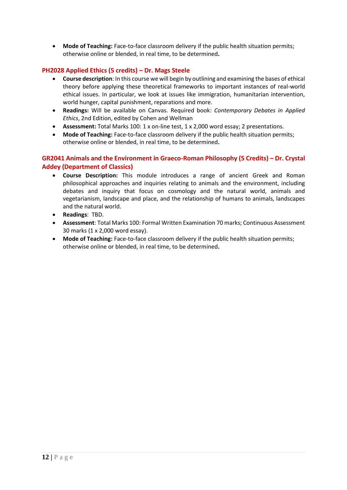• **Mode of Teaching:** Face-to-face classroom delivery if the public health situation permits; otherwise online or blended, in real time, to be determined**.**

# **PH2028 Applied Ethics (5 credits) – Dr. Mags Steele**

- **Course description**: In this course we will begin by outlining and examining the bases of ethical theory before applying these theoretical frameworks to important instances of real-world ethical issues. In particular, we look at issues like immigration, humanitarian intervention, world hunger, capital punishment, reparations and more.
- **Readings:** Will be available on Canvas. Required book: *Contemporary Debates in Applied Ethics*, 2nd Edition, edited by Cohen and Wellman
- **Assessment:** Total Marks 100: 1 x on-line test, 1 x 2,000 word essay; 2 presentations.
- **Mode of Teaching:** Face-to-face classroom delivery if the public health situation permits; otherwise online or blended, in real time, to be determined**.**

# **GR2041 Animals and the Environment in Graeco-Roman Philosophy (5 Credits) – Dr. Crystal Addey (Department of Classics)**

- **Course Description:** This module introduces a range of ancient Greek and Roman philosophical approaches and inquiries relating to animals and the environment, including debates and inquiry that focus on cosmology and the natural world, animals and vegetarianism, landscape and place, and the relationship of humans to animals, landscapes and the natural world.
- **Readings**: TBD.
- **Assessment**: Total Marks 100: Formal Written Examination 70 marks; Continuous Assessment 30 marks (1 x 2,000 word essay).
- Mode of Teaching: Face-to-face classroom delivery if the public health situation permits; otherwise online or blended, in real time, to be determined**.**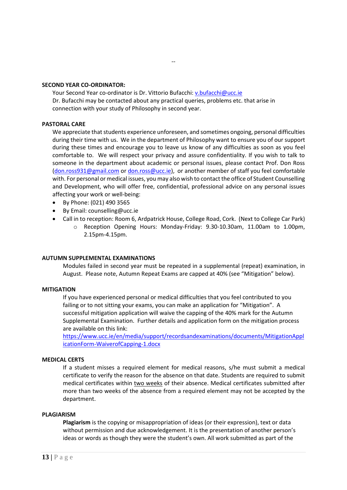#### **SECOND YEAR CO-ORDINATOR:**

Your Second Year co-ordinator is Dr. Vittorio Bufacchi: v. bufacchi@ucc.ie Dr. Bufacchi may be contacted about any practical queries, problems etc. that arise in connection with your study of Philosophy in second year.

--

#### **PASTORAL CARE**

We appreciate that students experience unforeseen, and sometimes ongoing, personal difficulties during their time with us. We in the department of Philosophy want to ensure you of our support during these times and encourage you to leave us know of any difficulties as soon as you feel comfortable to. We will respect your privacy and assure confidentiality. If you wish to talk to someone in the department about academic or personal issues, please contact Prof. Don Ross [\(don.ross931@gmail.com](mailto:don.ross931@gmail.com) or [don.ross@ucc.ie\)](mailto:don.ross@ucc.ie), or another member of staff you feel comfortable with. For personal or medical issues, you may also wish to contact the office of Student Counselling and Development, who will offer free, confidential, professional advice on any personal issues affecting your work or well-being:

- By Phone: (021) 490 3565
- By Email: counselling@ucc.ie
- Call in to reception: Room 6, Ardpatrick House, College Road, Cork. (Next to College Car Park)
	- o Reception Opening Hours: Monday-Friday: 9.30-10.30am, 11.00am to 1.00pm, 2.15pm-4.15pm.

# **AUTUMN SUPPLEMENTAL EXAMINATIONS**

Modules failed in second year must be repeated in a supplemental (repeat) examination, in August. Please note, Autumn Repeat Exams are capped at 40% (see "Mitigation" below).

# **MITIGATION**

If you have experienced personal or medical difficulties that you feel contributed to you failing or to not sitting your exams, you can make an application for "Mitigation". A successful mitigation application will waive the capping of the 40% mark for the Autumn Supplemental Examination. Further details and application form on the mitigation process are available on this link:

[https://www.ucc.ie/en/media/support/recordsandexaminations/documents/MitigationAppl](https://www.ucc.ie/en/media/support/recordsandexaminations/documents/MitigationApplicationForm-WaiverofCapping-1.docx) [icationForm-WaiverofCapping-1.docx](https://www.ucc.ie/en/media/support/recordsandexaminations/documents/MitigationApplicationForm-WaiverofCapping-1.docx)

# **MEDICAL CERTS**

If a student misses a required element for medical reasons, s/he must submit a medical certificate to verify the reason for the absence on that date. Students are required to submit medical certificates within two weeks of their absence. Medical certificates submitted after more than two weeks of the absence from a required element may not be accepted by the department.

#### **PLAGIARISM**

**Plagiarism** is the copying or misappropriation of ideas (or their expression), text or data without permission and due acknowledgement. It is the presentation of another person's ideas or words as though they were the student's own. All work submitted as part of the